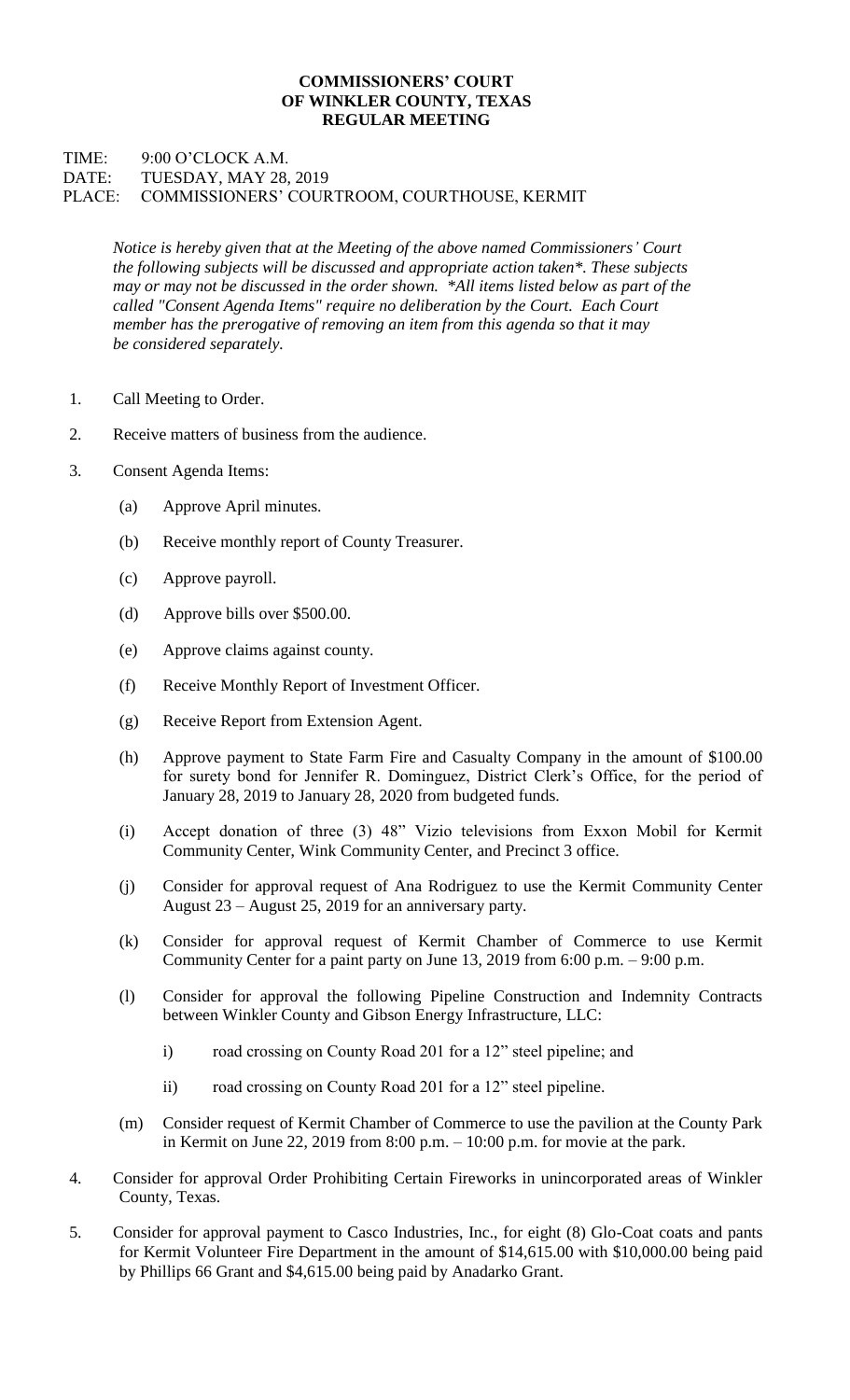## **COMMISSIONERS' COURT OF WINKLER COUNTY, TEXAS REGULAR MEETING**

## TIME: 9:00 O'CLOCK A.M. DATE: TUESDAY, MAY 28, 2019 PLACE: COMMISSIONERS' COURTROOM, COURTHOUSE, KERMIT

*Notice is hereby given that at the Meeting of the above named Commissioners' Court the following subjects will be discussed and appropriate action taken\*. These subjects may or may not be discussed in the order shown. \*All items listed below as part of the called "Consent Agenda Items" require no deliberation by the Court. Each Court member has the prerogative of removing an item from this agenda so that it may be considered separately.*

- 1. Call Meeting to Order.
- 2. Receive matters of business from the audience.
- 3. Consent Agenda Items:
	- (a) Approve April minutes.
	- (b) Receive monthly report of County Treasurer.
	- (c) Approve payroll.
	- (d) Approve bills over \$500.00.
	- (e) Approve claims against county.
	- (f) Receive Monthly Report of Investment Officer.
	- (g) Receive Report from Extension Agent.
	- (h) Approve payment to State Farm Fire and Casualty Company in the amount of \$100.00 for surety bond for Jennifer R. Dominguez, District Clerk's Office, for the period of January 28, 2019 to January 28, 2020 from budgeted funds.
	- (i) Accept donation of three (3) 48" Vizio televisions from Exxon Mobil for Kermit Community Center, Wink Community Center, and Precinct 3 office.
	- (j) Consider for approval request of Ana Rodriguez to use the Kermit Community Center August 23 – August 25, 2019 for an anniversary party.
	- (k) Consider for approval request of Kermit Chamber of Commerce to use Kermit Community Center for a paint party on June 13, 2019 from 6:00 p.m. – 9:00 p.m.
	- (l) Consider for approval the following Pipeline Construction and Indemnity Contracts between Winkler County and Gibson Energy Infrastructure, LLC:
		- i) road crossing on County Road 201 for a 12" steel pipeline; and
		- ii) road crossing on County Road 201 for a 12" steel pipeline.
	- (m) Consider request of Kermit Chamber of Commerce to use the pavilion at the County Park in Kermit on June 22, 2019 from 8:00 p.m. – 10:00 p.m. for movie at the park.
- 4. Consider for approval Order Prohibiting Certain Fireworks in unincorporated areas of Winkler County, Texas.
- 5. Consider for approval payment to Casco Industries, Inc., for eight (8) Glo-Coat coats and pants for Kermit Volunteer Fire Department in the amount of \$14,615.00 with \$10,000.00 being paid by Phillips 66 Grant and \$4,615.00 being paid by Anadarko Grant.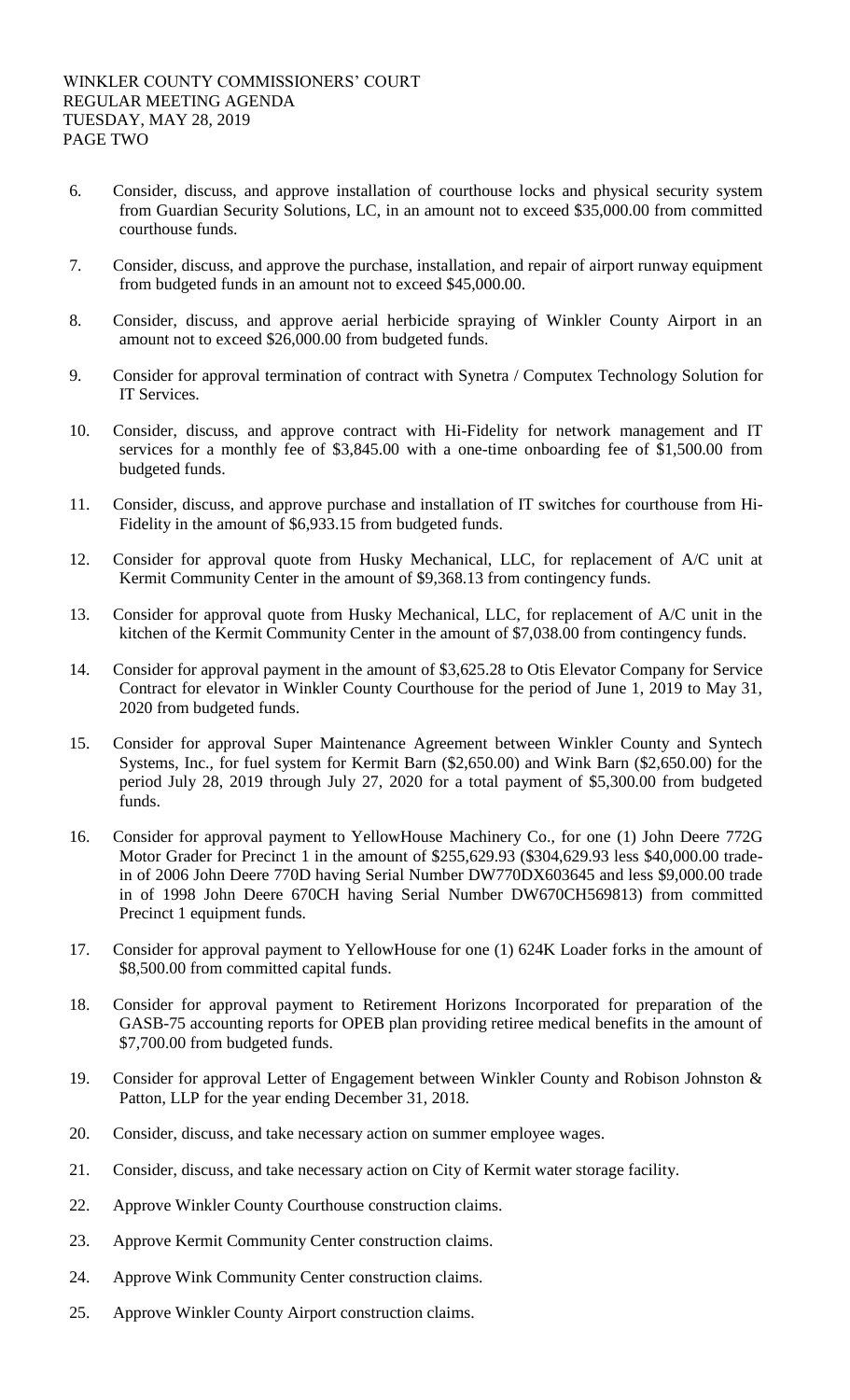- 6. Consider, discuss, and approve installation of courthouse locks and physical security system from Guardian Security Solutions, LC, in an amount not to exceed \$35,000.00 from committed courthouse funds.
- 7. Consider, discuss, and approve the purchase, installation, and repair of airport runway equipment from budgeted funds in an amount not to exceed \$45,000.00.
- 8. Consider, discuss, and approve aerial herbicide spraying of Winkler County Airport in an amount not to exceed \$26,000.00 from budgeted funds.
- 9. Consider for approval termination of contract with Synetra / Computex Technology Solution for IT Services.
- 10. Consider, discuss, and approve contract with Hi-Fidelity for network management and IT services for a monthly fee of \$3,845.00 with a one-time onboarding fee of \$1,500.00 from budgeted funds.
- 11. Consider, discuss, and approve purchase and installation of IT switches for courthouse from Hi-Fidelity in the amount of \$6,933.15 from budgeted funds.
- 12. Consider for approval quote from Husky Mechanical, LLC, for replacement of A/C unit at Kermit Community Center in the amount of \$9,368.13 from contingency funds.
- 13. Consider for approval quote from Husky Mechanical, LLC, for replacement of A/C unit in the kitchen of the Kermit Community Center in the amount of \$7,038.00 from contingency funds.
- 14. Consider for approval payment in the amount of \$3,625.28 to Otis Elevator Company for Service Contract for elevator in Winkler County Courthouse for the period of June 1, 2019 to May 31, 2020 from budgeted funds.
- 15. Consider for approval Super Maintenance Agreement between Winkler County and Syntech Systems, Inc., for fuel system for Kermit Barn (\$2,650.00) and Wink Barn (\$2,650.00) for the period July 28, 2019 through July 27, 2020 for a total payment of \$5,300.00 from budgeted funds.
- 16. Consider for approval payment to YellowHouse Machinery Co., for one (1) John Deere 772G Motor Grader for Precinct 1 in the amount of \$255,629.93 (\$304,629.93 less \$40,000.00 tradein of 2006 John Deere 770D having Serial Number DW770DX603645 and less \$9,000.00 trade in of 1998 John Deere 670CH having Serial Number DW670CH569813) from committed Precinct 1 equipment funds.
- 17. Consider for approval payment to YellowHouse for one (1) 624K Loader forks in the amount of \$8,500.00 from committed capital funds.
- 18. Consider for approval payment to Retirement Horizons Incorporated for preparation of the GASB-75 accounting reports for OPEB plan providing retiree medical benefits in the amount of \$7,700.00 from budgeted funds.
- 19. Consider for approval Letter of Engagement between Winkler County and Robison Johnston & Patton, LLP for the year ending December 31, 2018.
- 20. Consider, discuss, and take necessary action on summer employee wages.
- 21. Consider, discuss, and take necessary action on City of Kermit water storage facility.
- 22. Approve Winkler County Courthouse construction claims.
- 23. Approve Kermit Community Center construction claims.
- 24. Approve Wink Community Center construction claims.
- 25. Approve Winkler County Airport construction claims.